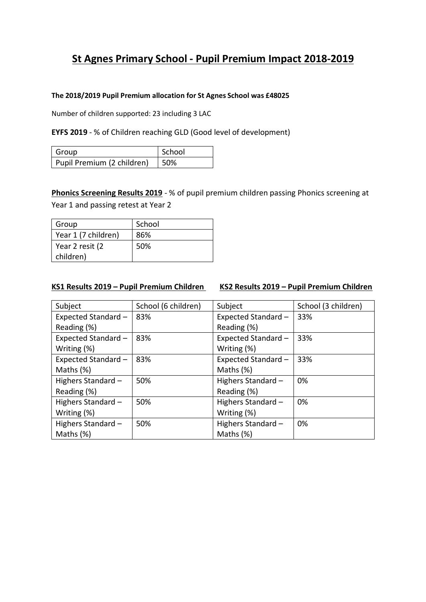# **St Agnes Primary School - Pupil Premium Impact 2018-2019**

#### **The 2018/2019 Pupil Premium allocation for St Agnes School was £48025**

Number of children supported: 23 including 3 LAC

## **EYFS 2019** - % of Children reaching GLD (Good level of development)

| Group                      | School |
|----------------------------|--------|
| Pupil Premium (2 children) | 50%    |

**Phonics Screening Results 2019** - % of pupil premium children passing Phonics screening at Year 1 and passing retest at Year 2

| Group               | School |
|---------------------|--------|
| Year 1 (7 children) | 86%    |
| Year 2 resit (2     | 50%    |
| children)           |        |

## **KS1 Results 2019 – Pupil Premium Children KS2 Results 2019 – Pupil Premium Children**

| Subject             | School (6 children) | Subject             | School (3 children) |
|---------------------|---------------------|---------------------|---------------------|
| Expected Standard - | 83%                 | Expected Standard - | 33%                 |
| Reading (%)         |                     | Reading (%)         |                     |
| Expected Standard - | 83%                 | Expected Standard - | 33%                 |
| Writing (%)         |                     | Writing (%)         |                     |
| Expected Standard - | 83%                 | Expected Standard - | 33%                 |
| Maths (%)           |                     | Maths (%)           |                     |
| Highers Standard -  | 50%                 | Highers Standard -  | 0%                  |
| Reading (%)         |                     | Reading (%)         |                     |
| Highers Standard -  | 50%                 | Highers Standard -  | 0%                  |
| Writing (%)         |                     | Writing (%)         |                     |
| Highers Standard -  | 50%                 | Highers Standard -  | 0%                  |
| Maths (%)           |                     | Maths (%)           |                     |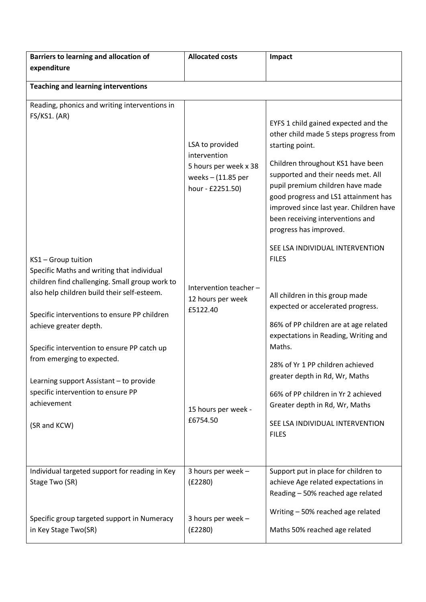| Barriers to learning and allocation of                                                                                                                                                                                                                                                                                    | <b>Allocated costs</b>                                                                               | Impact                                                                                                                                                                                                                                                                                                                                                            |
|---------------------------------------------------------------------------------------------------------------------------------------------------------------------------------------------------------------------------------------------------------------------------------------------------------------------------|------------------------------------------------------------------------------------------------------|-------------------------------------------------------------------------------------------------------------------------------------------------------------------------------------------------------------------------------------------------------------------------------------------------------------------------------------------------------------------|
| expenditure                                                                                                                                                                                                                                                                                                               |                                                                                                      |                                                                                                                                                                                                                                                                                                                                                                   |
| <b>Teaching and learning interventions</b>                                                                                                                                                                                                                                                                                |                                                                                                      |                                                                                                                                                                                                                                                                                                                                                                   |
| Reading, phonics and writing interventions in<br>FS/KS1. (AR)                                                                                                                                                                                                                                                             | LSA to provided<br>intervention<br>5 hours per week x 38<br>weeks $-$ (11.85 per<br>hour - £2251.50) | EYFS 1 child gained expected and the<br>other child made 5 steps progress from<br>starting point.<br>Children throughout KS1 have been<br>supported and their needs met. All<br>pupil premium children have made<br>good progress and LS1 attainment has<br>improved since last year. Children have<br>been receiving interventions and<br>progress has improved. |
| KS1 - Group tuition<br>Specific Maths and writing that individual<br>children find challenging. Small group work to<br>also help children build their self-esteem.<br>Specific interventions to ensure PP children<br>achieve greater depth.<br>Specific intervention to ensure PP catch up<br>from emerging to expected. | Intervention teacher -<br>12 hours per week<br>£5122.40                                              | SEE LSA INDIVIDUAL INTERVENTION<br><b>FILES</b><br>All children in this group made<br>expected or accelerated progress.<br>86% of PP children are at age related<br>expectations in Reading, Writing and<br>Maths.                                                                                                                                                |
| Learning support Assistant - to provide<br>specific intervention to ensure PP<br>achievement<br>(SR and KCW)<br>Individual targeted support for reading in Key                                                                                                                                                            | 15 hours per week -<br>£6754.50<br>3 hours per week -                                                | 28% of Yr 1 PP children achieved<br>greater depth in Rd, Wr, Maths<br>66% of PP children in Yr 2 achieved<br>Greater depth in Rd, Wr, Maths<br>SEE LSA INDIVIDUAL INTERVENTION<br><b>FILES</b><br>Support put in place for children to                                                                                                                            |
| Stage Two (SR)<br>Specific group targeted support in Numeracy<br>in Key Stage Two(SR)                                                                                                                                                                                                                                     | (E2280)<br>3 hours per week -<br>(E2280)                                                             | achieve Age related expectations in<br>Reading - 50% reached age related<br>Writing - 50% reached age related<br>Maths 50% reached age related                                                                                                                                                                                                                    |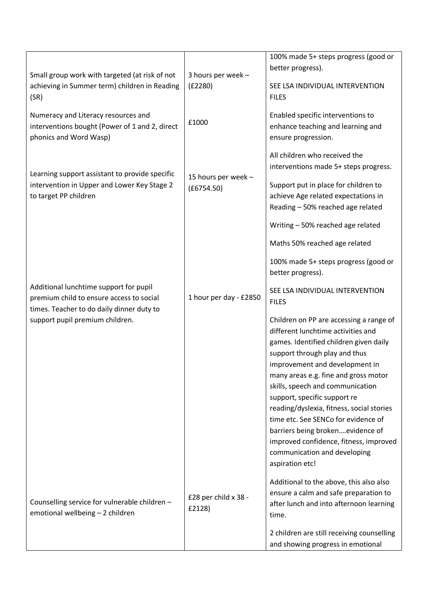|                                                |                        | 100% made 5+ steps progress (good or                                          |
|------------------------------------------------|------------------------|-------------------------------------------------------------------------------|
|                                                |                        | better progress).                                                             |
| Small group work with targeted (at risk of not | 3 hours per week -     |                                                                               |
| achieving in Summer term) children in Reading  | (E2280)                | SEE LSA INDIVIDUAL INTERVENTION                                               |
| (SR)                                           |                        | <b>FILES</b>                                                                  |
| Numeracy and Literacy resources and            |                        | Enabled specific interventions to                                             |
| interventions bought (Power of 1 and 2, direct | £1000                  | enhance teaching and learning and                                             |
| phonics and Word Wasp)                         |                        | ensure progression.                                                           |
|                                                |                        |                                                                               |
|                                                |                        | All children who received the                                                 |
|                                                |                        | interventions made 5+ steps progress.                                         |
| Learning support assistant to provide specific | 15 hours per week -    |                                                                               |
| intervention in Upper and Lower Key Stage 2    | (E6754.50)             | Support put in place for children to                                          |
| to target PP children                          |                        | achieve Age related expectations in                                           |
|                                                |                        | Reading - 50% reached age related                                             |
|                                                |                        | Writing - 50% reached age related                                             |
|                                                |                        | Maths 50% reached age related                                                 |
|                                                |                        | 100% made 5+ steps progress (good or                                          |
|                                                |                        | better progress).                                                             |
|                                                |                        |                                                                               |
| Additional lunchtime support for pupil         |                        | SEE LSA INDIVIDUAL INTERVENTION                                               |
| premium child to ensure access to social       | 1 hour per day - £2850 | <b>FILES</b>                                                                  |
| times. Teacher to do daily dinner duty to      |                        |                                                                               |
| support pupil premium children.                |                        | Children on PP are accessing a range of<br>different lunchtime activities and |
|                                                |                        |                                                                               |
|                                                |                        | games. Identified children given daily                                        |
|                                                |                        | support through play and thus                                                 |
|                                                |                        | improvement and development in                                                |
|                                                |                        | many areas e.g. fine and gross motor                                          |
|                                                |                        | skills, speech and communication                                              |
|                                                |                        | support, specific support re                                                  |
|                                                |                        | reading/dyslexia, fitness, social stories                                     |
|                                                |                        | time etc. See SENCo for evidence of                                           |
|                                                |                        | barriers being brokenevidence of                                              |
|                                                |                        | improved confidence, fitness, improved                                        |
|                                                |                        | communication and developing                                                  |
|                                                |                        | aspiration etc!                                                               |
|                                                |                        | Additional to the above, this also also                                       |
|                                                |                        | ensure a calm and safe preparation to                                         |
| Counselling service for vulnerable children -  | £28 per child x 38 -   | after lunch and into afternoon learning                                       |
| emotional wellbeing - 2 children               | £2128)                 | time.                                                                         |
|                                                |                        |                                                                               |
|                                                |                        | 2 children are still receiving counselling                                    |
|                                                |                        | and showing progress in emotional                                             |